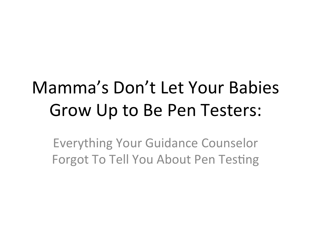# Mamma's Don't Let Your Babies Grow Up to Be Pen Testers:

**Everything Your Guidance Counselor Forgot To Tell You About Pen Testing**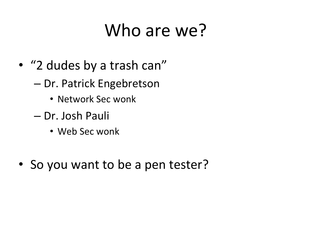### Who are we?

- "2 dudes by a trash can"
	- Dr. Patrick Engebretson
		- Network Sec wonk
	- Dr. Josh Pauli
		- Web Sec wonk
- So you want to be a pen tester?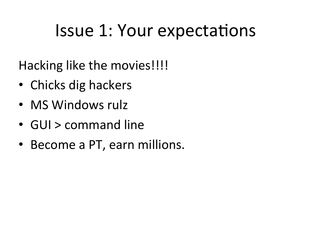### Issue 1: Your expectations

Hacking like the movies!!!!

- Chicks dig hackers
- MS Windows rulz
- GUI > command line
- Become a PT, earn millions.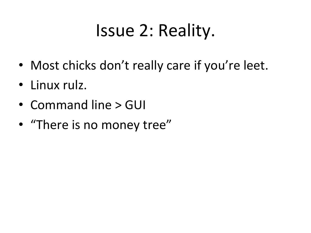### Issue 2: Reality.

- Most chicks don't really care if you're leet.
- Linux rulz.
- Command line > GUI
- "There is no money tree"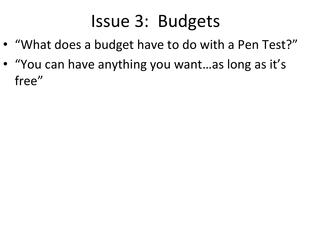### Issue 3: Budgets

- "What does a budget have to do with a Pen Test?"
- "You can have anything you want...as long as it's free"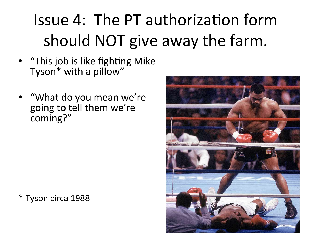## Issue 4: The PT authorization form should NOT give away the farm.

- "This job is like fighting Mike Tyson $*$  with a pillow"
- "What do you mean we're going to tell them we're coming?"

\* Tyson circa 1988

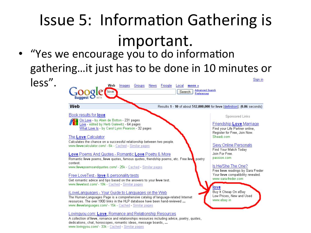#### **Issue 5: Information Gathering is** important. • "Yes we encourage you to do information

gathering...it just has to be done in 10 minutes or



www.lovingyou.com/ - 33k - Cached - Similar pages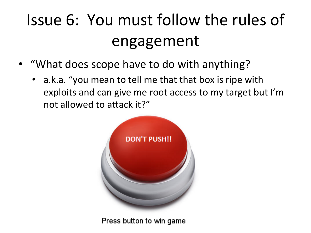## Issue 6: You must follow the rules of engagement&

- "What does scope have to do with anything?
	- a.k.a. "you mean to tell me that that box is ripe with exploits and can give me root access to my target but I'm not allowed to attack it?"



Press button to win game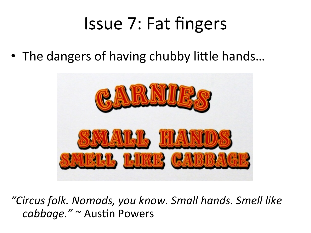### Issue 7: Fat fingers

• The dangers of having chubby little hands...



"Circus folk. Nomads, you know. Small hands. Smell like cabbage." ~ Austin Powers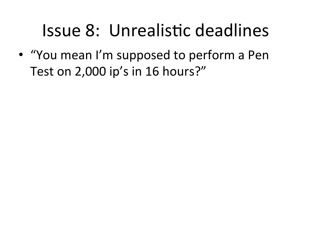### Issue 8: Unrealistic deadlines

• "You mean I'm supposed to perform a Pen Test on 2,000 ip's in 16 hours?"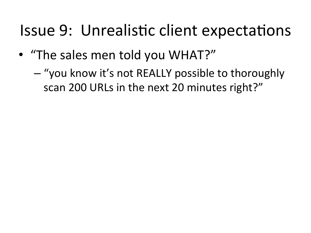### Issue 9: Unrealistic client expectations

- "The sales men told you WHAT?"
	- "you know it's not REALLY possible to thoroughly scan 200 URLs in the next 20 minutes right?"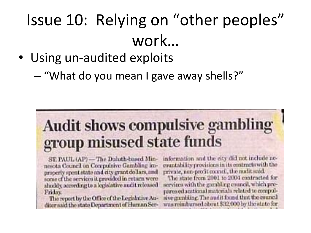### Issue 10: Relying on "other peoples" work...

#### • Using un-audited exploits

- "What do you mean I gave away shells?"

### Audit shows compulsive gambling group misused state funds

ST. PAUL (AP) - The Daluth-based Minnesota Council on Compulsive Gambling improperly spent state and city grant dollars, and some of the services it provided in return were shoddy, according to a legislative audit released Friday

The report by the Office of the Legislative Auditer said the state Department of Human Serinformation and the city did not include necountability provisions in its contracts with the private, non-profit council, the mulit said.

The state from 2001 to 2001 contracted for services with the gambling council, which prepares educational materials related to compulsive gumbling. The audit found that the council was reimbursed about \$32,000 by the state for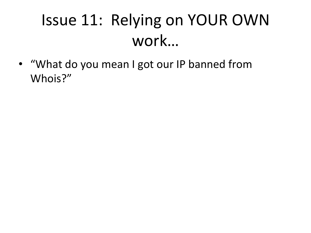### Issue 11: Relying on YOUR OWN work...

• "What do you mean I got our IP banned from Whois?"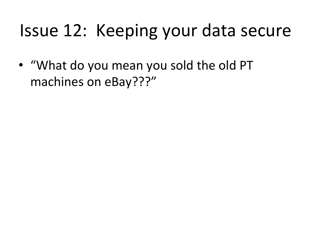### Issue 12: Keeping your data secure

• "What do you mean you sold the old PT machines on eBay???"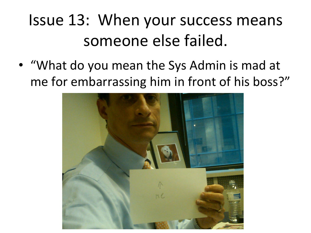### Issue 13: When your success means someone else failed.

• "What do you mean the Sys Admin is mad at me for embarrassing him in front of his boss?"

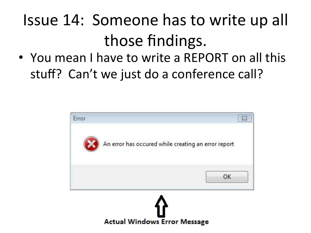### Issue 14: Someone has to write up all those findings.

• You mean I have to write a REPORT on all this stuff? Can't we just do a conference call?

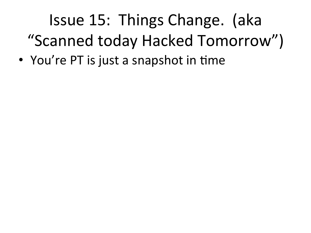# Issue 15: Things Change. (aka "Scanned today Hacked Tomorrow")

• You're PT is just a snapshot in time